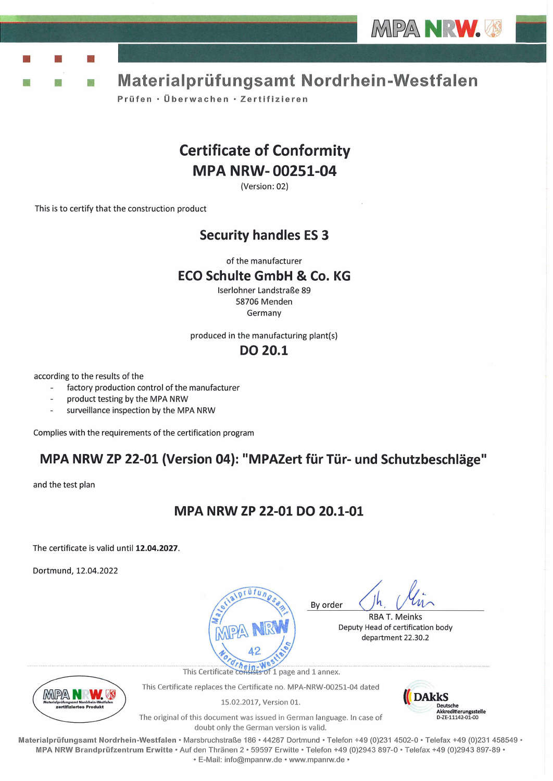

y.

Materialprüfungsamt Nordrhein-Westfalen

Prüfen · Überwachen · Zertifizieren

# **Certificate of Conformity MPA NRW-00251-04**

(Version: 02)

This is to certify that the construction product

### **Security handles ES 3**

of the manufacturer

### **ECO Schulte GmbH & Co. KG**

Iserlohner Landstraße 89 58706 Menden Germany

produced in the manufacturing plant(s)

### **DO 20.1**

according to the results of the

- factory production control of the manufacturer
- product testing by the MPA NRW
- surveillance inspection by the MPA NRW

Complies with the requirements of the certification program

## MPA NRW ZP 22-01 (Version 04): "MPAZert für Tür- und Schutzbeschläge"

and the test plan

## MPA NRW ZP 22-01 DO 20.1-01

The certificate is valid until 12.04.2027.

Dortmund, 12.04.2022



**RBA T. Meinks** Deputy Head of certification body department 22.30.2



This Certificate replaces the Certificate no. MPA-NRW-00251-04 dated

15.02.2017, Version 01.



The original of this document was issued in German language. In case of doubt only the German version is valid.

Materialprüfungsamt Nordrhein-Westfalen • Marsbruchstraße 186 • 44287 Dortmund • Telefon +49 (0)231 4502-0 • Telefax +49 (0)231 458549 • MPA NRW Brandprüfzentrum Erwitte · Auf den Thränen 2 · 59597 Erwitte · Telefon +49 (0)2943 897-0 · Telefax +49 (0)2943 897-89 · · E-Mail: info@mpanrw.de · www.mpanrw.de ·